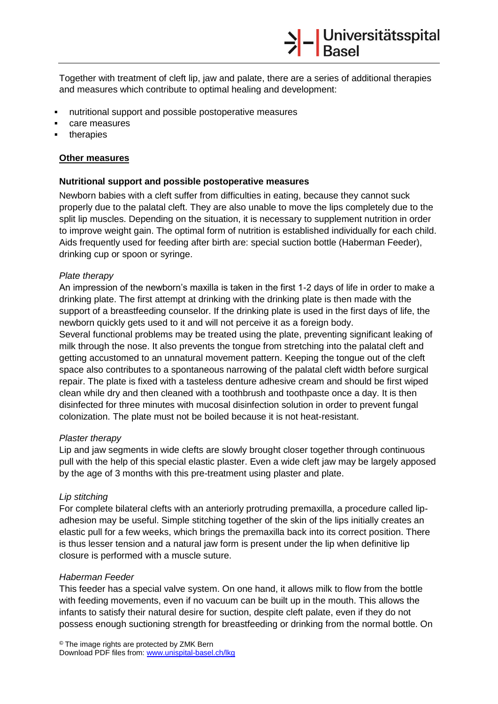Together with treatment of cleft lip, jaw and palate, there are a series of additional therapies and measures which contribute to optimal healing and development:

- nutritional support and possible postoperative measures
- care measures
- therapies

## **Other measures**

## **Nutritional support and possible postoperative measures**

Newborn babies with a cleft suffer from difficulties in eating, because they cannot suck properly due to the palatal cleft. They are also unable to move the lips completely due to the split lip muscles. Depending on the situation, it is necessary to supplement nutrition in order to improve weight gain. The optimal form of nutrition is established individually for each child. Aids frequently used for feeding after birth are: special suction bottle (Haberman Feeder), drinking cup or spoon or syringe.

## *Plate therapy*

An impression of the newborn's maxilla is taken in the first 1-2 days of life in order to make a drinking plate. The first attempt at drinking with the drinking plate is then made with the support of a breastfeeding counselor. If the drinking plate is used in the first days of life, the newborn quickly gets used to it and will not perceive it as a foreign body.

Several functional problems may be treated using the plate, preventing significant leaking of milk through the nose. It also prevents the tongue from stretching into the palatal cleft and getting accustomed to an unnatural movement pattern. Keeping the tongue out of the cleft space also contributes to a spontaneous narrowing of the palatal cleft width before surgical repair. The plate is fixed with a tasteless denture adhesive cream and should be first wiped clean while dry and then cleaned with a toothbrush and toothpaste once a day. It is then disinfected for three minutes with mucosal disinfection solution in order to prevent fungal colonization. The plate must not be boiled because it is not heat-resistant.

#### *Plaster therapy*

Lip and jaw segments in wide clefts are slowly brought closer together through continuous pull with the help of this special elastic plaster. Even a wide cleft jaw may be largely apposed by the age of 3 months with this pre-treatment using plaster and plate.

#### *Lip stitching*

For complete bilateral clefts with an anteriorly protruding premaxilla, a procedure called lipadhesion may be useful. Simple stitching together of the skin of the lips initially creates an elastic pull for a few weeks, which brings the premaxilla back into its correct position. There is thus lesser tension and a natural jaw form is present under the lip when definitive lip closure is performed with a muscle suture.

#### *Haberman Feeder*

This feeder has a special valve system. On one hand, it allows milk to flow from the bottle with feeding movements, even if no vacuum can be built up in the mouth. This allows the infants to satisfy their natural desire for suction, despite cleft palate, even if they do not possess enough suctioning strength for breastfeeding or drinking from the normal bottle. On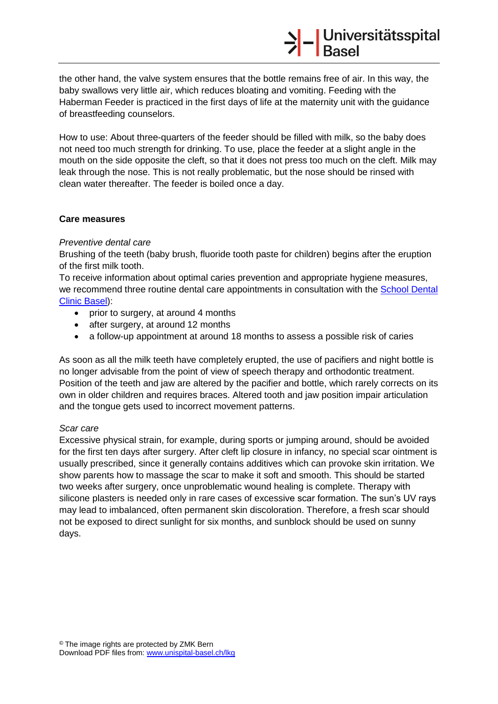the other hand, the valve system ensures that the bottle remains free of air. In this way, the baby swallows very little air, which reduces bloating and vomiting. Feeding with the Haberman Feeder is practiced in the first days of life at the maternity unit with the guidance of breastfeeding counselors.

How to use: About three-quarters of the feeder should be filled with milk, so the baby does not need too much strength for drinking. To use, place the feeder at a slight angle in the mouth on the side opposite the cleft, so that it does not press too much on the cleft. Milk may leak through the nose. This is not really problematic, but the nose should be rinsed with clean water thereafter. The feeder is boiled once a day.

## **Care measures**

## *Preventive dental care*

Brushing of the teeth (baby brush, fluoride tooth paste for children) begins after the eruption of the first milk tooth.

To receive information about optimal caries prevention and appropriate hygiene measures, we recommend three routine dental care appointments in consultation with the School Dental [Clinic Basel\)](http://www.uzb.ch/de/Schulzahnklinik/Patienteninformation.php):

- prior to surgery, at around 4 months
- after surgery, at around 12 months
- a follow-up appointment at around 18 months to assess a possible risk of caries

As soon as all the milk teeth have completely erupted, the use of pacifiers and night bottle is no longer advisable from the point of view of speech therapy and orthodontic treatment. Position of the teeth and jaw are altered by the pacifier and bottle, which rarely corrects on its own in older children and requires braces. Altered tooth and jaw position impair articulation and the tongue gets used to incorrect movement patterns.

#### *Scar care*

Excessive physical strain, for example, during sports or jumping around, should be avoided for the first ten days after surgery. After cleft lip closure in infancy, no special scar ointment is usually prescribed, since it generally contains additives which can provoke skin irritation. We show parents how to massage the scar to make it soft and smooth. This should be started two weeks after surgery, once unproblematic wound healing is complete. Therapy with silicone plasters is needed only in rare cases of excessive scar formation. The sun's UV rays may lead to imbalanced, often permanent skin discoloration. Therefore, a fresh scar should not be exposed to direct sunlight for six months, and sunblock should be used on sunny days.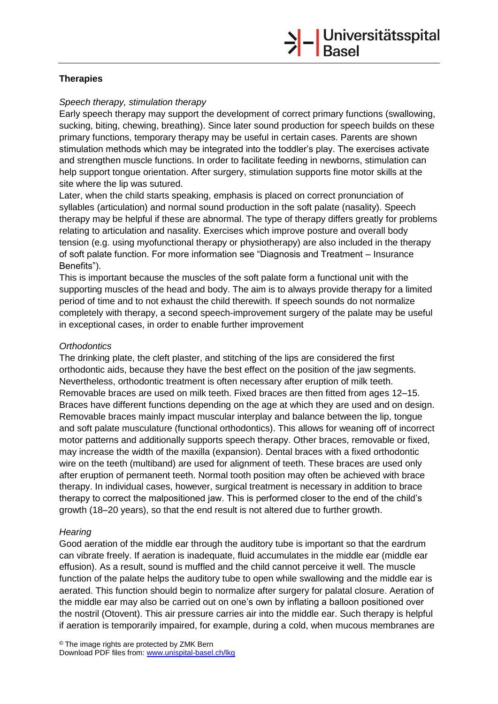# **Therapies**

# *Speech therapy, stimulation therapy*

Early speech therapy may support the development of correct primary functions (swallowing, sucking, biting, chewing, breathing). Since later sound production for speech builds on these primary functions, temporary therapy may be useful in certain cases. Parents are shown stimulation methods which may be integrated into the toddler's play. The exercises activate and strengthen muscle functions. In order to facilitate feeding in newborns, stimulation can help support tongue orientation. After surgery, stimulation supports fine motor skills at the site where the lip was sutured.

Later, when the child starts speaking, emphasis is placed on correct pronunciation of syllables (articulation) and normal sound production in the soft palate (nasality). Speech therapy may be helpful if these are abnormal. The type of therapy differs greatly for problems relating to articulation and nasality. Exercises which improve posture and overall body tension (e.g. using myofunctional therapy or physiotherapy) are also included in the therapy of soft palate function. For more information see "Diagnosis and Treatment – Insurance Benefits").

This is important because the muscles of the soft palate form a functional unit with the supporting muscles of the head and body. The aim is to always provide therapy for a limited period of time and to not exhaust the child therewith. If speech sounds do not normalize completely with therapy, a second speech-improvement surgery of the palate may be useful in exceptional cases, in order to enable further improvement

## *Orthodontics*

The drinking plate, the cleft plaster, and stitching of the lips are considered the first orthodontic aids, because they have the best effect on the position of the jaw segments. Nevertheless, orthodontic treatment is often necessary after eruption of milk teeth. Removable braces are used on milk teeth. Fixed braces are then fitted from ages 12–15. Braces have different functions depending on the age at which they are used and on design. Removable braces mainly impact muscular interplay and balance between the lip, tongue and soft palate musculature (functional orthodontics). This allows for weaning off of incorrect motor patterns and additionally supports speech therapy. Other braces, removable or fixed, may increase the width of the maxilla (expansion). Dental braces with a fixed orthodontic wire on the teeth (multiband) are used for alignment of teeth. These braces are used only after eruption of permanent teeth. Normal tooth position may often be achieved with brace therapy. In individual cases, however, surgical treatment is necessary in addition to brace therapy to correct the malpositioned jaw. This is performed closer to the end of the child's growth (18–20 years), so that the end result is not altered due to further growth.

# *Hearing*

Good aeration of the middle ear through the auditory tube is important so that the eardrum can vibrate freely. If aeration is inadequate, fluid accumulates in the middle ear (middle ear effusion). As a result, sound is muffled and the child cannot perceive it well. The muscle function of the palate helps the auditory tube to open while swallowing and the middle ear is aerated. This function should begin to normalize after surgery for palatal closure. Aeration of the middle ear may also be carried out on one's own by inflating a balloon positioned over the nostril (Otovent). This air pressure carries air into the middle ear. Such therapy is helpful if aeration is temporarily impaired, for example, during a cold, when mucous membranes are